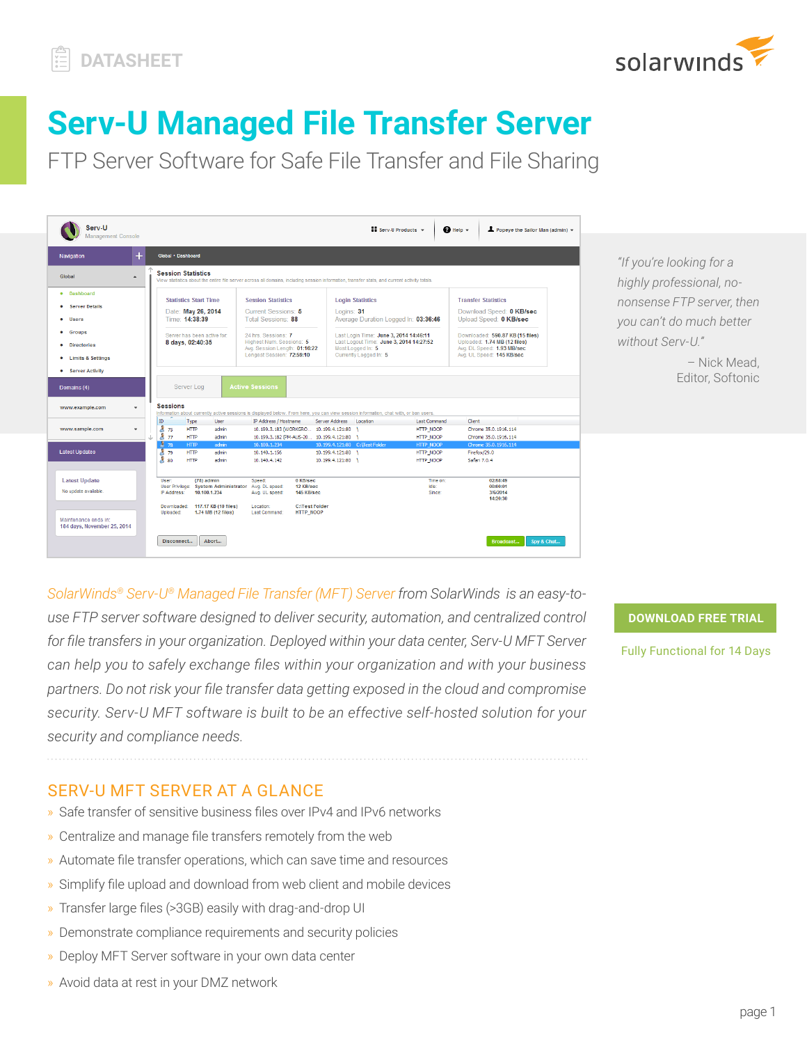

# **Serv-U Managed File Transfer Server**

FTP Server Software for Safe File Transfer and File Sharing



*"If you're looking for a highly professional, nononsense FTP server, then you can't do much better without Serv-U."*

> – Nick Mead, Editor, Softonic

*SolarWinds® [Serv-U® Managed File Transfer \(MFT\) Server](https://www.serv-u.com/serv-u-managed-file-transfer-server) from SolarWinds is an easy-touse FTP server software designed to deliver security, automation, and centralized control for file transfers in your organization. Deployed within your data center, Serv-U MFT Server can help you to safely exchange files within your organization and with your business partners. Do not risk your file transfer data getting exposed in the cloud and compromise security. Serv-U MFT software is built to be an effective self-hosted solution for your security and compliance needs.*

**[DOWNLOAD FREE TRIAL](http://serv-u.com/serv-u-managed-file-transfer-server/registration?program=17825&campaign=701500000010ymi&CMP=LEC-WP-SWI-SW_WW_X_NP_X_LD_EN_SIEM_X-SMFT-20181031_DTASHT_X_X-X)**

[Fully Functional for 14 Days](http://serv-u.com/serv-u-managed-file-transfer-server/registration?program=17825&campaign=701500000010ymi&CMP=LEC-WP-SWI-SW_WW_X_NP_X_LD_EN_SIEM_X-SMFT-20181031_DTASHT_X_X-X)

SERV-U MFT SERVER AT A GLANCE

- » Safe transfer of sensitive business files over IPv4 and IPv6 networks
- » Centralize and manage file transfers remotely from the web
- » Automate file transfer operations, which can save time and resources
- » Simplify file upload and download from web client and mobile devices
- » Transfer large files (>3GB) easily with drag-and-drop UI
- » Demonstrate compliance requirements and security policies
- » Deploy MFT Server software in your own data center
- » Avoid data at rest in your DMZ network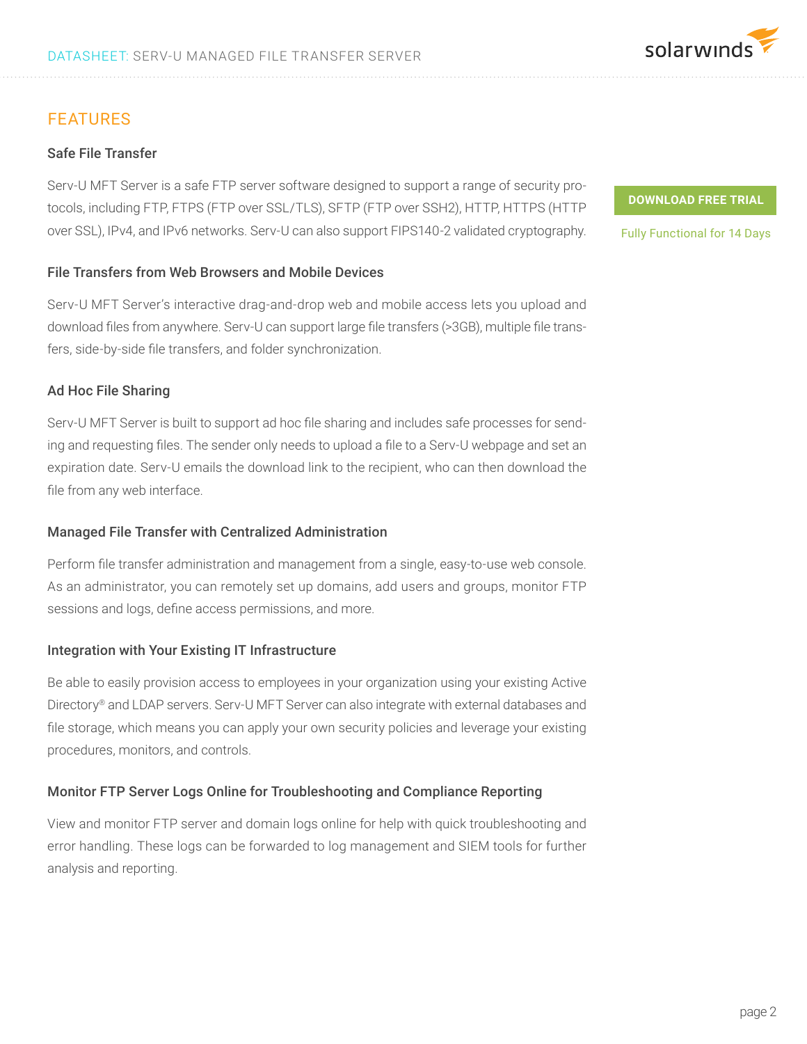## FEATURES

#### Safe File Transfer

Serv-U MFT Server is a safe FTP server software designed to support a range of security protocols, including FTP, FTPS (FTP over SSL/TLS), SFTP (FTP over SSH2), HTTP, HTTPS (HTTP over SSL), IPv4, and IPv6 networks. Serv-U can also support FIPS140-2 validated cryptography.

#### File Transfers from Web Browsers and Mobile Devices

Serv-U MFT Server's interactive drag-and-drop web and mobile access lets you upload and download files from anywhere. Serv-U can support large file transfers (>3GB), multiple file transfers, side-by-side file transfers, and folder synchronization.

#### Ad Hoc File Sharing

Serv-U MFT Server is built to support ad hoc file sharing and includes safe processes for sending and requesting files. The sender only needs to upload a file to a Serv-U webpage and set an expiration date. Serv-U emails the download link to the recipient, who can then download the file from any web interface.

#### Managed File Transfer with Centralized Administration

Perform file transfer administration and management from a single, easy-to-use web console. As an administrator, you can remotely set up domains, add users and groups, monitor FTP sessions and logs, define access permissions, and more.

#### Integration with Your Existing IT Infrastructure

Be able to easily provision access to employees in your organization using your existing Active Directory® and LDAP servers. Serv-U MFT Server can also integrate with external databases and file storage, which means you can apply your own security policies and leverage your existing procedures, monitors, and controls.

#### Monitor FTP Server Logs Online for Troubleshooting and Compliance Reporting

View and monitor FTP server and domain logs online for help with quick troubleshooting and error handling. These logs can be forwarded to log management and SIEM tools for further analysis and reporting.

**[DOWNLOAD FREE TRIAL](http://serv-u.com/serv-u-managed-file-transfer-server/registration?program=17825&campaign=701500000010ymi&CMP=LEC-WP-SWI-SW_WW_X_NP_X_LD_EN_SIEM_X-SMFT-20181031_DTASHT_X_X-X)**

[Fully Functional for 14 Days](http://serv-u.com/serv-u-managed-file-transfer-server/registration?program=17825&campaign=701500000010ymi&CMP=LEC-WP-SWI-SW_WW_X_NP_X_LD_EN_SIEM_X-SMFT-20181031_DTASHT_X_X-X)

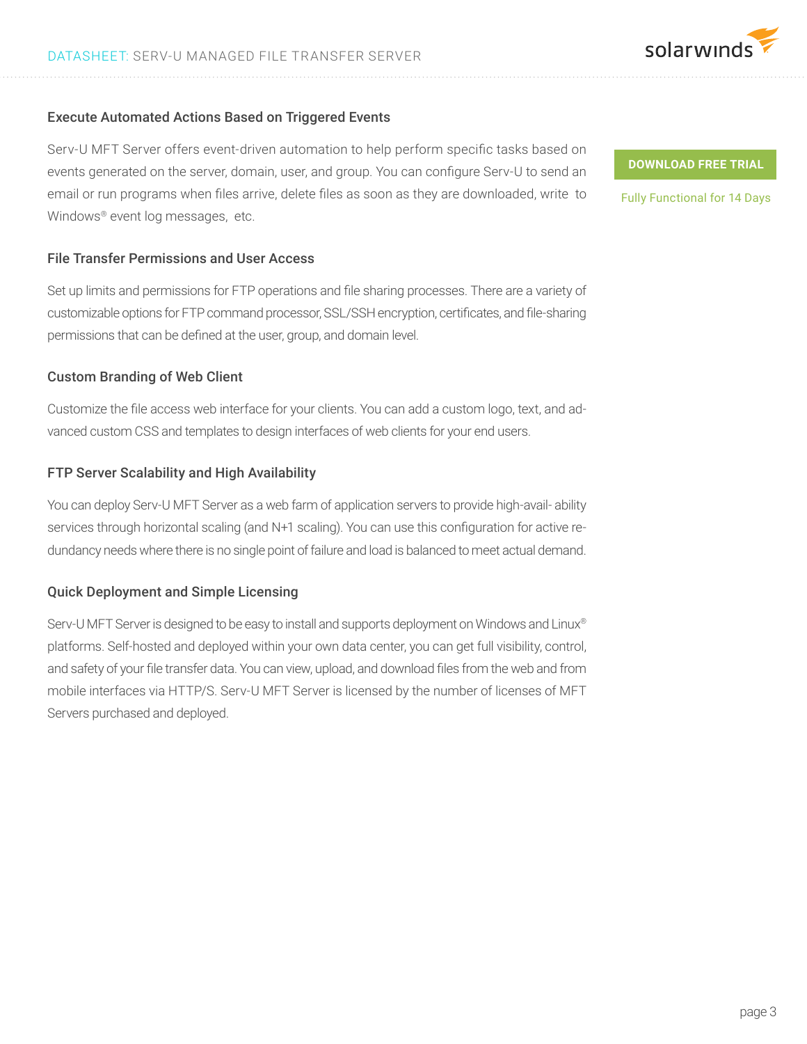#### Execute Automated Actions Based on Triggered Events

Serv-U MFT Server offers event-driven automation to help perform specific tasks based on events generated on the server, domain, user, and group. You can configure Serv-U to send an email or run programs when files arrive, delete files as soon as they are downloaded, write to Windows® event log messages, etc.

#### File Transfer Permissions and User Access

Set up limits and permissions for FTP operations and file sharing processes. There are a variety of customizable options for FTP command processor, SSL/SSH encryption, certificates, and file-sharing permissions that can be defined at the user, group, and domain level.

#### Custom Branding of Web Client

Customize the file access web interface for your clients. You can add a custom logo, text, and advanced custom CSS and templates to design interfaces of web clients for your end users.

#### FTP Server Scalability and High Availability

You can deploy Serv-U MFT Server as a web farm of application servers to provide high-avail- ability services through horizontal scaling (and N+1 scaling). You can use this configuration for active redundancy needs where there is no single point of failure and load is balanced to meet actual demand.

#### Quick Deployment and Simple Licensing

Serv-U MFT Server is designed to be easy to install and supports deployment on Windows and Linux® platforms. Self-hosted and deployed within your own data center, you can get full visibility, control, and safety of your file transfer data. You can view, upload, and download files from the web and from mobile interfaces via HTTP/S. Serv-U MFT Server is licensed by the number of licenses of MFT Servers purchased and deployed.

**[DOWNLOAD FREE TRIAL](http://serv-u.com/serv-u-managed-file-transfer-server/registration?program=17825&campaign=701500000010ymi&CMP=LEC-WP-SWI-SW_WW_X_NP_X_LD_EN_SIEM_X-SMFT-20181031_DTASHT_X_X-X)**

[Fully Functional for 14 Days](http://serv-u.com/serv-u-managed-file-transfer-server/registration?program=17825&campaign=701500000010ymi&CMP=LEC-WP-SWI-SW_WW_X_NP_X_LD_EN_SIEM_X-SMFT-20181031_DTASHT_X_X-X)

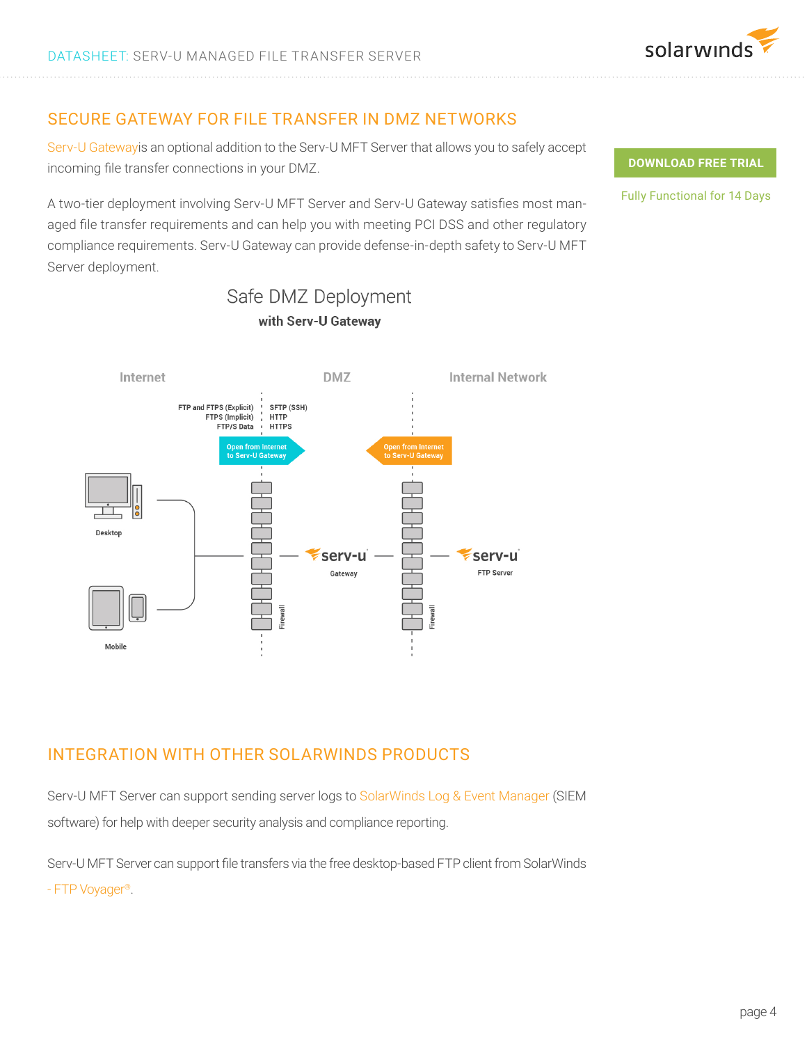## SECURE GATEWAY FOR FILE TRANSFER IN DMZ NETWORKS

[Serv-U Gatewayi](http://www.serv-u.com/gateway/)s an optional addition to the Serv-U MFT Server that allows you to safely accept incoming file transfer connections in your DMZ.

A two-tier deployment involving Serv-U MFT Server and Serv-U Gateway satisfies most managed file transfer requirements and can help you with meeting PCI DSS and other regulatory compliance requirements. Serv-U Gateway can provide defense-in-depth safety to Serv-U MFT Server deployment.



with Serv-U Gateway

Safe DMZ Deployment

# INTEGRATION WITH OTHER SOLARWINDS PRODUCTS

Serv-U MFT Server can support sending server logs to [SolarWinds Log & Event Manager](http://www.solarwinds.com/log-event-manager.aspx) (SIEM software) for help with deeper security analysis and compliance reporting.

Serv-U MFT Server can support file transfers via the free desktop-based FTP client from SolarWinds [- FTP Voyager](http://www.serv-u.com/ftpvoyager.asp)®.

#### **[DOWNLOAD FREE TRIAL](http://serv-u.com/serv-u-managed-file-transfer-server/registration?program=17825&campaign=701500000010ymi&CMP=LEC-WP-SWI-SW_WW_X_NP_X_LD_EN_SIEM_X-SMFT-20181031_DTASHT_X_X-X)**

[Fully Functional for 14 Days](http://serv-u.com/serv-u-managed-file-transfer-server/registration?program=17825&campaign=701500000010ymi&CMP=LEC-WP-SWI-SW_WW_X_NP_X_LD_EN_SIEM_X-SMFT-20181031_DTASHT_X_X-X)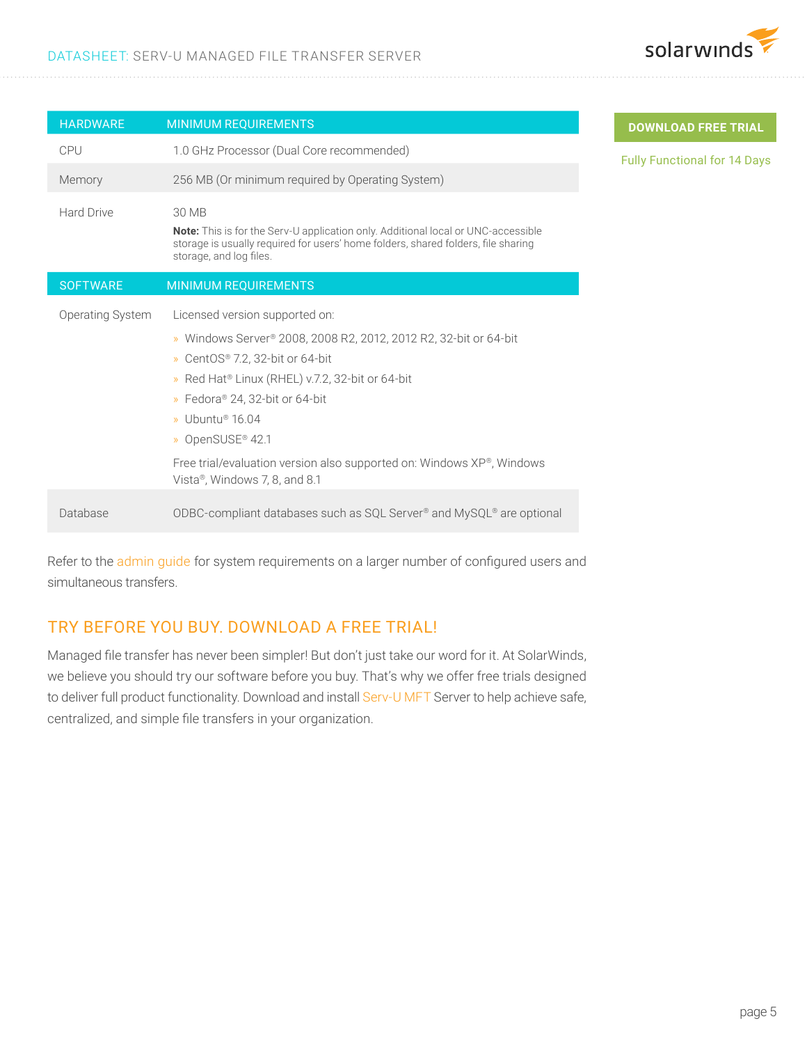

**REE TRIAL** 

for 14 Days

| <b>HARDWARE</b>  | <b>MINIMUM REQUIREMENTS</b>                                                                                                                                                                                                                                                                                                                                                                                     | <b>DOWNLOAD F</b>       |
|------------------|-----------------------------------------------------------------------------------------------------------------------------------------------------------------------------------------------------------------------------------------------------------------------------------------------------------------------------------------------------------------------------------------------------------------|-------------------------|
| CPU              | 1.0 GHz Processor (Dual Core recommended)                                                                                                                                                                                                                                                                                                                                                                       | <b>Fully Functional</b> |
| Memory           | 256 MB (Or minimum required by Operating System)                                                                                                                                                                                                                                                                                                                                                                |                         |
| Hard Drive       | 30 MB<br><b>Note:</b> This is for the Serv-U application only. Additional local or UNC-accessible<br>storage is usually required for users' home folders, shared folders, file sharing<br>storage, and log files.                                                                                                                                                                                               |                         |
| <b>SOFTWARE</b>  | <b>MINIMUM REQUIREMENTS</b>                                                                                                                                                                                                                                                                                                                                                                                     |                         |
| Operating System | Licensed version supported on:<br>» Windows Server® 2008, 2008 R2, 2012, 2012 R2, 32-bit or 64-bit<br>» CentOS® 7.2, 32-bit or 64-bit<br>» Red Hat <sup>®</sup> Linux (RHEL) v.7.2, 32-bit or 64-bit<br>» Fedora® 24, 32-bit or 64-bit<br>» Ubuntu <sup>®</sup> 16.04<br>» OpenSUSE <sup>®</sup> 42.1<br>Free trial/evaluation version also supported on: Windows XP®, Windows<br>Vista®, Windows 7, 8, and 8.1 |                         |
| Database         | ODBC-compliant databases such as SQL Server® and MySQL® are optional                                                                                                                                                                                                                                                                                                                                            |                         |

Refer to the [admin guide](https://support.solarwinds.com/Success_Center/Serv-U_Managed_File_Transfer_Serv-U_FTP_Server/Serv-U_File_Server_Administrator_Guide) for system requirements on a larger number of configured users and simultaneous transfers.

## TRY BEFORE YOU BUY. DOWNLOAD A FREE TRIAL!

Managed file transfer has never been simpler! But don't just take our word for it. At SolarWinds, we believe you should try our software before you buy. That's why we offer free trials designed to deliver full product functionality. Download and install [Serv-U MFT](http://www.serv-u.com/managed-file-transfer-server.asp) Server to help achieve safe, centralized, and simple file transfers in your organization.